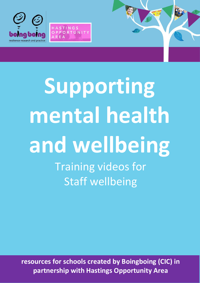

HASTINGS OPPORTUNITY

# **Supporting mental health and wellbeing** Training videos for

Staff wellbeing

**resources for schools created by Boingboing (CIC) in partnership with Hastings Opportunity Area**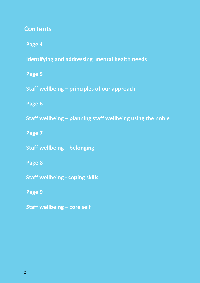### **Contents**

**Page 4**

**Identifying and addressing mental health needs**

**Page 5**

**Staff wellbeing – principles of our approach**

**Page 6**

**Staff wellbeing – planning staff wellbeing using the noble**

**Page 7**

**Staff wellbeing – belonging**

**Page 8**

**Staff wellbeing - coping skills**

**Page 9**

**Staff wellbeing – core self**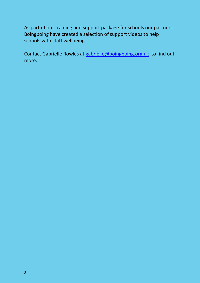As part of our training and support package for schools our partners Boingboing have created a selection of support videos to help schools with staff wellbeing.

Contact Gabrielle Rowles at [gabrielle@boingboing.org.uk](mailto:gabrielle@boingboing.org.uk) to find out more.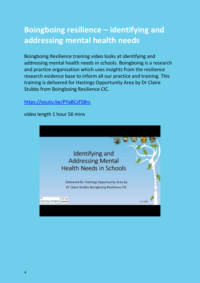## **Boingboing resilience – identifying and addressing mental health needs**

Boingboing Resilience training video looks at identifying and addressing mental health needs in schools. Boingboing is a research and practice organisation which uses insights from the resilience research evidence base to inform all our practice and training. This training is delivered for Hastings Opportunity Area by Dr Claire Stubbs from Boingboing Resilience CIC.

#### <https://youtu.be/PYaBCsFSBrc>



video length 1 hour 56 mins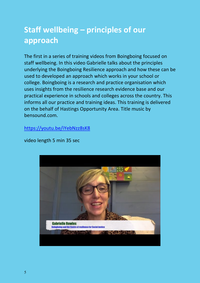## **Staff wellbeing – principles of our approach**

The first in a series of training videos from Boingboing focused on staff wellbeing. In this video Gabrielle talks about the principles underlying the Boingboing Resilience approach and how these can be used to developed an approach which works in your school or college. Boingboing is a research and practice organisation which uses insights from the resilience research evidence base and our practical experience in schools and colleges across the country. This informs all our practice and training ideas. This training is delivered on the behalf of Hastings Opportunity Area. Title music by bensound.com.

<https://youtu.be/iYebNzz8sK8>

video length 5 min 35 sec

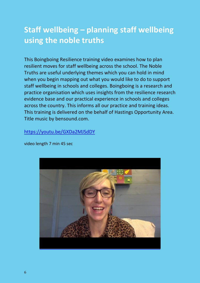## **Staff wellbeing – planning staff wellbeing using the noble truths**

This Boingboing Resilience training video examines how to plan resilient moves for staff wellbeing across the school. The Noble Truths are useful underlying themes which you can hold in mind when you begin mapping out what you would like to do to support staff wellbeing in schools and colleges. Boingboing is a research and practice organisation which uses insights from the resilience research evidence base and our practical experience in schools and colleges across the country. This informs all our practice and training ideas. This training is delivered on the behalf of Hastings Opportunity Area. Title music by bensound.com.

#### <https://youtu.be/GXDa2MJSdDY>

video length 7 min 45 sec

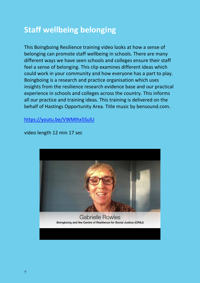## **Staff wellbeing belonging**

This Boingboing Resilience training video looks at how a sense of belonging can promote staff wellbeing in schools. There are many different ways we have seen schools and colleges ensure their staff feel a sense of belonging. This clip examines different ideas which could work in your community and how everyone has a part to play. Boingboing is a research and practice organisation which uses insights from the resilience research evidence base and our practical experience in schools and colleges across the country. This informs all our practice and training ideas. This training is delivered on the behalf of Hastings Opportunity Area. Title music by bensound.com.

<https://youtu.be/VWMIhx5SulU>

video length 12 min 17 sec

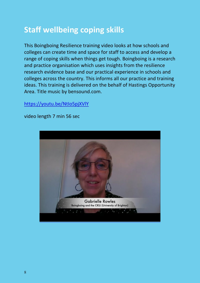## **Staff wellbeing coping skills**

This Boingboing Resilience training video looks at how schools and colleges can create time and space for staff to access and develop a range of coping skills when things get tough. Boingboing is a research and practice organisation which uses insights from the resilience research evidence base and our practical experience in schools and colleges across the country. This informs all our practice and training ideas. This training is delivered on the behalf of Hastings Opportunity Area. Title music by bensound.com.

#### <https://youtu.be/NtIo5pjXVlY>

video length 7 min 56 sec

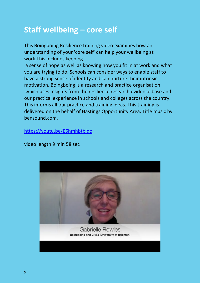## **Staff wellbeing – core self**

This Boingboing Resilience training video examines how an understanding of your 'core self' can help your wellbeing at work.This includes keeping a sense of hope as well as knowing how you fit in at work and what you are trying to do. Schools can consider ways to enable staff to have a strong sense of identity and can nurture their intrinsic motivation. Boingboing is a research and practice organisation which uses insights from the resilience research evidence base and our practical experience in schools and colleges across the country. This informs all our practice and training ideas. This training is delivered on the behalf of Hastings Opportunity Area. Title music by

bensound.com.

<https://youtu.be/E6hmhbtbjqo>

video length 9 min 58 sec